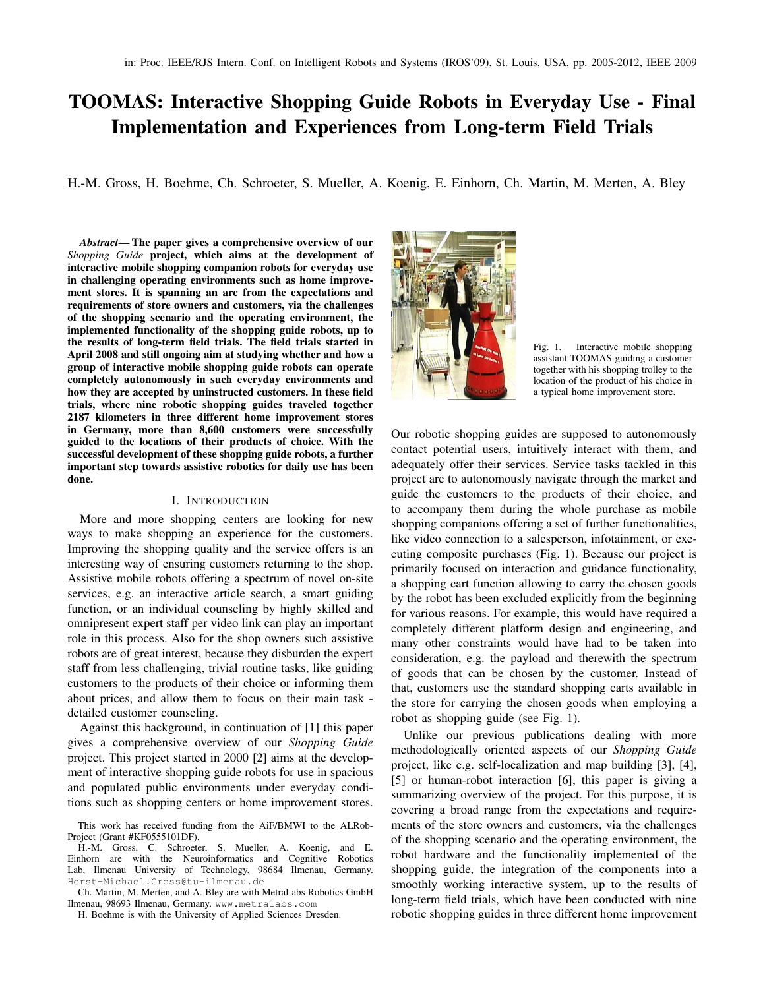# TOOMAS: Interactive Shopping Guide Robots in Everyday Use - Final Implementation and Experiences from Long-term Field Trials

H.-M. Gross, H. Boehme, Ch. Schroeter, S. Mueller, A. Koenig, E. Einhorn, Ch. Martin, M. Merten, A. Bley

*Abstract*— The paper gives a comprehensive overview of our *Shopping Guide* project, which aims at the development of interactive mobile shopping companion robots for everyday use in challenging operating environments such as home improvement stores. It is spanning an arc from the expectations and requirements of store owners and customers, via the challenges of the shopping scenario and the operating environment, the implemented functionality of the shopping guide robots, up to the results of long-term field trials. The field trials started in April 2008 and still ongoing aim at studying whether and how a group of interactive mobile shopping guide robots can operate completely autonomously in such everyday environments and how they are accepted by uninstructed customers. In these field trials, where nine robotic shopping guides traveled together 2187 kilometers in three different home improvement stores in Germany, more than 8,600 customers were successfully guided to the locations of their products of choice. With the successful development of these shopping guide robots, a further important step towards assistive robotics for daily use has been done.

### I. INTRODUCTION

More and more shopping centers are looking for new ways to make shopping an experience for the customers. Improving the shopping quality and the service offers is an interesting way of ensuring customers returning to the shop. Assistive mobile robots offering a spectrum of novel on-site services, e.g. an interactive article search, a smart guiding function, or an individual counseling by highly skilled and omnipresent expert staff per video link can play an important role in this process. Also for the shop owners such assistive robots are of great interest, because they disburden the expert staff from less challenging, trivial routine tasks, like guiding customers to the products of their choice or informing them about prices, and allow them to focus on their main task detailed customer counseling.

Against this background, in continuation of [1] this paper gives a comprehensive overview of our *Shopping Guide* project. This project started in 2000 [2] aims at the development of interactive shopping guide robots for use in spacious and populated public environments under everyday conditions such as shopping centers or home improvement stores.



Fig. 1. Interactive mobile shopping assistant TOOMAS guiding a customer together with his shopping trolley to the location of the product of his choice in a typical home improvement store.

Our robotic shopping guides are supposed to autonomously contact potential users, intuitively interact with them, and adequately offer their services. Service tasks tackled in this project are to autonomously navigate through the market and guide the customers to the products of their choice, and to accompany them during the whole purchase as mobile shopping companions offering a set of further functionalities, like video connection to a salesperson, infotainment, or executing composite purchases (Fig. 1). Because our project is primarily focused on interaction and guidance functionality, a shopping cart function allowing to carry the chosen goods by the robot has been excluded explicitly from the beginning for various reasons. For example, this would have required a completely different platform design and engineering, and many other constraints would have had to be taken into consideration, e.g. the payload and therewith the spectrum of goods that can be chosen by the customer. Instead of that, customers use the standard shopping carts available in the store for carrying the chosen goods when employing a robot as shopping guide (see Fig. 1).

Unlike our previous publications dealing with more methodologically oriented aspects of our *Shopping Guide* project, like e.g. self-localization and map building [3], [4], [5] or human-robot interaction [6], this paper is giving a summarizing overview of the project. For this purpose, it is covering a broad range from the expectations and requirements of the store owners and customers, via the challenges of the shopping scenario and the operating environment, the robot hardware and the functionality implemented of the shopping guide, the integration of the components into a smoothly working interactive system, up to the results of long-term field trials, which have been conducted with nine robotic shopping guides in three different home improvement

This work has received funding from the AiF/BMWI to the ALRob-Project (Grant #KF0555101DF).

H.-M. Gross, C. Schroeter, S. Mueller, A. Koenig, and E. Einhorn are with the Neuroinformatics and Cognitive Robotics Lab, Ilmenau University of Technology, 98684 Ilmenau, Germany. Horst-Michael.Gross@tu-ilmenau.de

Ch. Martin, M. Merten, and A. Bley are with MetraLabs Robotics GmbH Ilmenau, 98693 Ilmenau, Germany. www.metralabs.com

H. Boehme is with the University of Applied Sciences Dresden.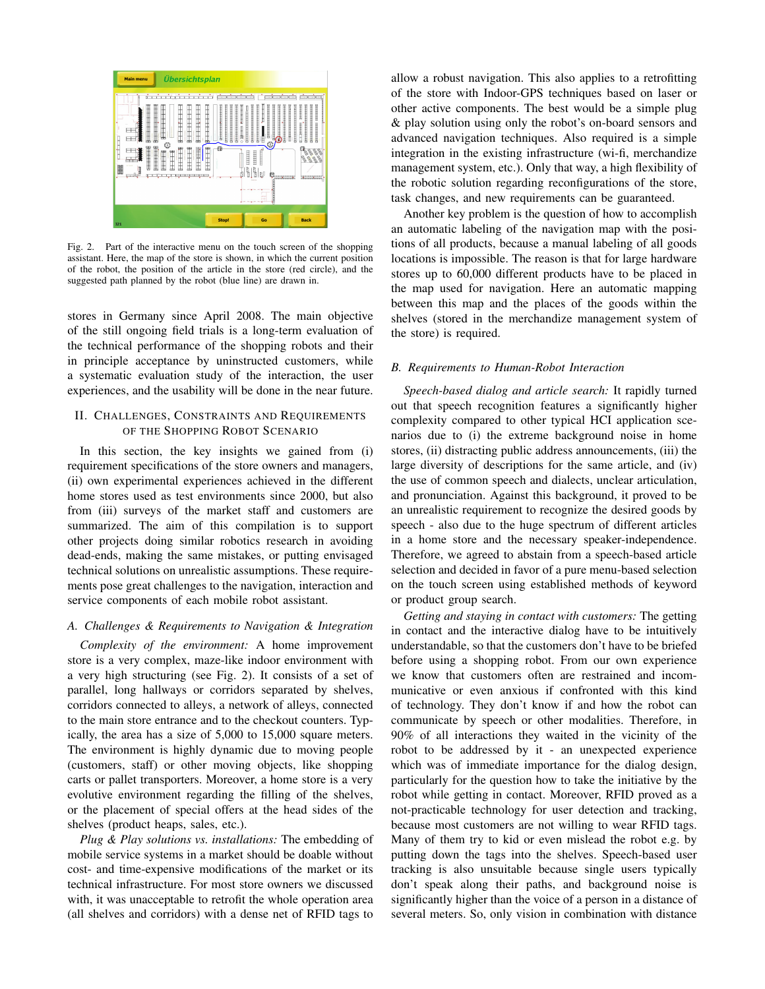

Fig. 2. Part of the interactive menu on the touch screen of the shopping assistant. Here, the map of the store is shown, in which the current position of the robot, the position of the article in the store (red circle), and the suggested path planned by the robot (blue line) are drawn in.

stores in Germany since April 2008. The main objective of the still ongoing field trials is a long-term evaluation of the technical performance of the shopping robots and their in principle acceptance by uninstructed customers, while a systematic evaluation study of the interaction, the user experiences, and the usability will be done in the near future.

# II. CHALLENGES, CONSTRAINTS AND REQUIREMENTS OF THE SHOPPING ROBOT SCENARIO

In this section, the key insights we gained from (i) requirement specifications of the store owners and managers, (ii) own experimental experiences achieved in the different home stores used as test environments since 2000, but also from (iii) surveys of the market staff and customers are summarized. The aim of this compilation is to support other projects doing similar robotics research in avoiding dead-ends, making the same mistakes, or putting envisaged technical solutions on unrealistic assumptions. These requirements pose great challenges to the navigation, interaction and service components of each mobile robot assistant.

## *A. Challenges & Requirements to Navigation & Integration*

*Complexity of the environment:* A home improvement store is a very complex, maze-like indoor environment with a very high structuring (see Fig. 2). It consists of a set of parallel, long hallways or corridors separated by shelves, corridors connected to alleys, a network of alleys, connected to the main store entrance and to the checkout counters. Typically, the area has a size of 5,000 to 15,000 square meters. The environment is highly dynamic due to moving people (customers, staff) or other moving objects, like shopping carts or pallet transporters. Moreover, a home store is a very evolutive environment regarding the filling of the shelves, or the placement of special offers at the head sides of the shelves (product heaps, sales, etc.).

*Plug & Play solutions vs. installations:* The embedding of mobile service systems in a market should be doable without cost- and time-expensive modifications of the market or its technical infrastructure. For most store owners we discussed with, it was unacceptable to retrofit the whole operation area (all shelves and corridors) with a dense net of RFID tags to allow a robust navigation. This also applies to a retrofitting of the store with Indoor-GPS techniques based on laser or other active components. The best would be a simple plug & play solution using only the robot's on-board sensors and advanced navigation techniques. Also required is a simple integration in the existing infrastructure (wi-fi, merchandize management system, etc.). Only that way, a high flexibility of the robotic solution regarding reconfigurations of the store, task changes, and new requirements can be guaranteed.

Another key problem is the question of how to accomplish an automatic labeling of the navigation map with the positions of all products, because a manual labeling of all goods locations is impossible. The reason is that for large hardware stores up to 60,000 different products have to be placed in the map used for navigation. Here an automatic mapping between this map and the places of the goods within the shelves (stored in the merchandize management system of the store) is required.

## *B. Requirements to Human-Robot Interaction*

*Speech-based dialog and article search:* It rapidly turned out that speech recognition features a significantly higher complexity compared to other typical HCI application scenarios due to (i) the extreme background noise in home stores, (ii) distracting public address announcements, (iii) the large diversity of descriptions for the same article, and (iv) the use of common speech and dialects, unclear articulation, and pronunciation. Against this background, it proved to be an unrealistic requirement to recognize the desired goods by speech - also due to the huge spectrum of different articles in a home store and the necessary speaker-independence. Therefore, we agreed to abstain from a speech-based article selection and decided in favor of a pure menu-based selection on the touch screen using established methods of keyword or product group search.

*Getting and staying in contact with customers:* The getting in contact and the interactive dialog have to be intuitively understandable, so that the customers don't have to be briefed before using a shopping robot. From our own experience we know that customers often are restrained and incommunicative or even anxious if confronted with this kind of technology. They don't know if and how the robot can communicate by speech or other modalities. Therefore, in 90% of all interactions they waited in the vicinity of the robot to be addressed by it - an unexpected experience which was of immediate importance for the dialog design, particularly for the question how to take the initiative by the robot while getting in contact. Moreover, RFID proved as a not-practicable technology for user detection and tracking, because most customers are not willing to wear RFID tags. Many of them try to kid or even mislead the robot e.g. by putting down the tags into the shelves. Speech-based user tracking is also unsuitable because single users typically don't speak along their paths, and background noise is significantly higher than the voice of a person in a distance of several meters. So, only vision in combination with distance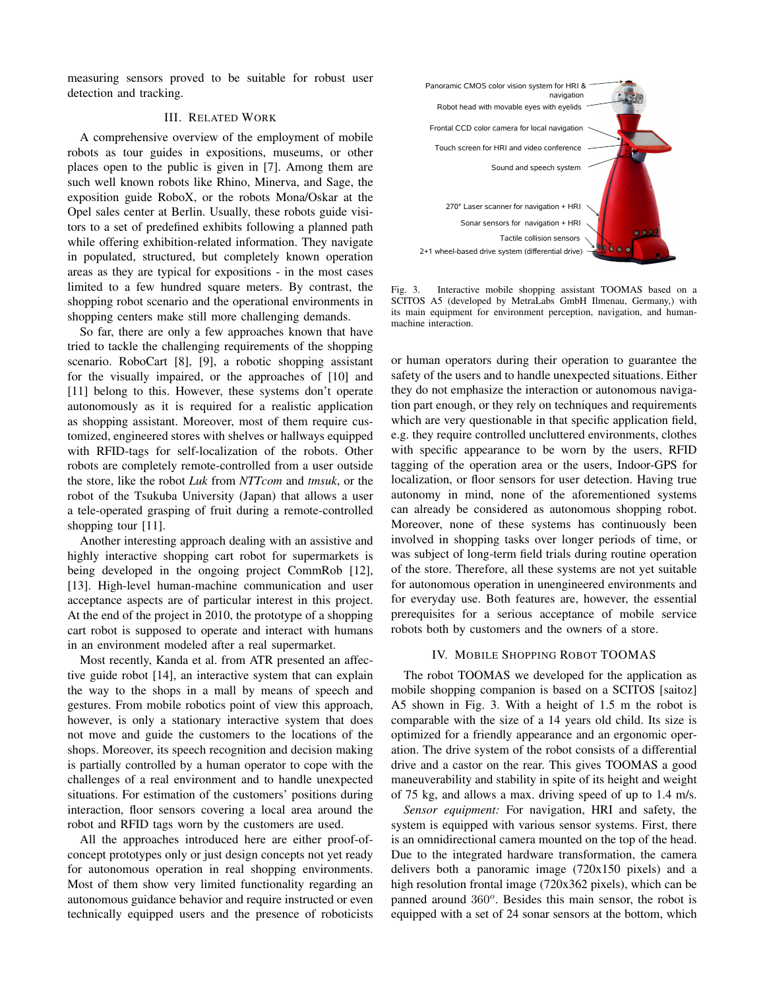measuring sensors proved to be suitable for robust user detection and tracking.

# III. RELATED WORK

A comprehensive overview of the employment of mobile robots as tour guides in expositions, museums, or other places open to the public is given in [7]. Among them are such well known robots like Rhino, Minerva, and Sage, the exposition guide RoboX, or the robots Mona/Oskar at the Opel sales center at Berlin. Usually, these robots guide visitors to a set of predefined exhibits following a planned path while offering exhibition-related information. They navigate in populated, structured, but completely known operation areas as they are typical for expositions - in the most cases limited to a few hundred square meters. By contrast, the shopping robot scenario and the operational environments in shopping centers make still more challenging demands.

So far, there are only a few approaches known that have tried to tackle the challenging requirements of the shopping scenario. RoboCart [8], [9], a robotic shopping assistant for the visually impaired, or the approaches of [10] and [11] belong to this. However, these systems don't operate autonomously as it is required for a realistic application as shopping assistant. Moreover, most of them require customized, engineered stores with shelves or hallways equipped with RFID-tags for self-localization of the robots. Other robots are completely remote-controlled from a user outside the store, like the robot *Luk* from *NTTcom* and *tmsuk*, or the robot of the Tsukuba University (Japan) that allows a user a tele-operated grasping of fruit during a remote-controlled shopping tour [11].

Another interesting approach dealing with an assistive and highly interactive shopping cart robot for supermarkets is being developed in the ongoing project CommRob [12], [13]. High-level human-machine communication and user acceptance aspects are of particular interest in this project. At the end of the project in 2010, the prototype of a shopping cart robot is supposed to operate and interact with humans in an environment modeled after a real supermarket.

Most recently, Kanda et al. from ATR presented an affective guide robot [14], an interactive system that can explain the way to the shops in a mall by means of speech and gestures. From mobile robotics point of view this approach, however, is only a stationary interactive system that does not move and guide the customers to the locations of the shops. Moreover, its speech recognition and decision making is partially controlled by a human operator to cope with the challenges of a real environment and to handle unexpected situations. For estimation of the customers' positions during interaction, floor sensors covering a local area around the robot and RFID tags worn by the customers are used.

All the approaches introduced here are either proof-ofconcept prototypes only or just design concepts not yet ready for autonomous operation in real shopping environments. Most of them show very limited functionality regarding an autonomous guidance behavior and require instructed or even technically equipped users and the presence of roboticists



Fig. 3. Interactive mobile shopping assistant TOOMAS based on a SCITOS A5 (developed by MetraLabs GmbH Ilmenau, Germany,) with its main equipment for environment perception, navigation, and humanmachine interaction.

or human operators during their operation to guarantee the safety of the users and to handle unexpected situations. Either they do not emphasize the interaction or autonomous navigation part enough, or they rely on techniques and requirements which are very questionable in that specific application field, e.g. they require controlled uncluttered environments, clothes with specific appearance to be worn by the users, RFID tagging of the operation area or the users, Indoor-GPS for localization, or floor sensors for user detection. Having true autonomy in mind, none of the aforementioned systems can already be considered as autonomous shopping robot. Moreover, none of these systems has continuously been involved in shopping tasks over longer periods of time, or was subject of long-term field trials during routine operation of the store. Therefore, all these systems are not yet suitable for autonomous operation in unengineered environments and for everyday use. Both features are, however, the essential prerequisites for a serious acceptance of mobile service robots both by customers and the owners of a store.

### IV. MOBILE SHOPPING ROBOT TOOMAS

The robot TOOMAS we developed for the application as mobile shopping companion is based on a SCITOS [saitoz] A5 shown in Fig. 3. With a height of 1.5 m the robot is comparable with the size of a 14 years old child. Its size is optimized for a friendly appearance and an ergonomic operation. The drive system of the robot consists of a differential drive and a castor on the rear. This gives TOOMAS a good maneuverability and stability in spite of its height and weight of 75 kg, and allows a max. driving speed of up to 1.4 m/s.

*Sensor equipment:* For navigation, HRI and safety, the system is equipped with various sensor systems. First, there is an omnidirectional camera mounted on the top of the head. Due to the integrated hardware transformation, the camera delivers both a panoramic image (720x150 pixels) and a high resolution frontal image (720x362 pixels), which can be panned around 360°. Besides this main sensor, the robot is equipped with a set of 24 sonar sensors at the bottom, which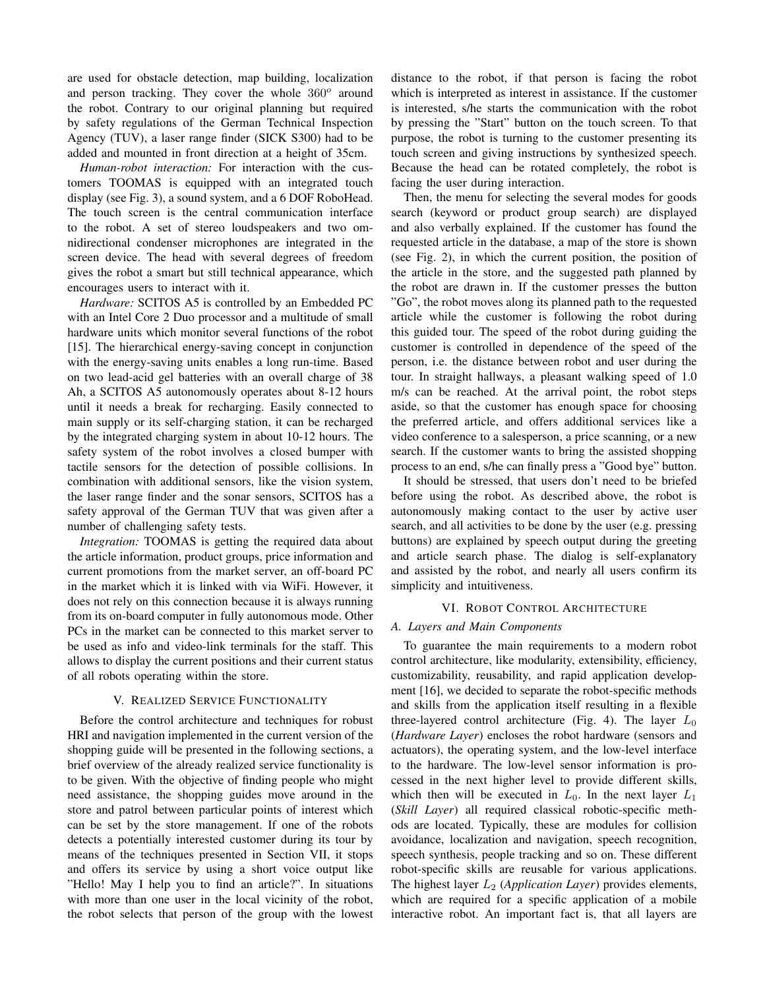are used for obstacle detection, map building, localization and person tracking. They cover the whole  $360^{\circ}$  around the robot. Contrary to our original planning but required by safety regulations of the German Technical Inspection Agency (TUV), a laser range finder (SICK S300) had to be added and mounted in front direction at a height of 35cm.

*Human-robot interaction:* For interaction with the customers TOOMAS is equipped with an integrated touch display (see Fig. 3), a sound system, and a 6 DOF RoboHead. The touch screen is the central communication interface to the robot. A set of stereo loudspeakers and two omnidirectional condenser microphones are integrated in the screen device. The head with several degrees of freedom gives the robot a smart but still technical appearance, which encourages users to interact with it.

*Hardware:* SCITOS A5 is controlled by an Embedded PC with an Intel Core 2 Duo processor and a multitude of small hardware units which monitor several functions of the robot [15]. The hierarchical energy-saving concept in conjunction with the energy-saving units enables a long run-time. Based on two lead-acid gel batteries with an overall charge of 38 Ah, a SCITOS A5 autonomously operates about 8-12 hours until it needs a break for recharging. Easily connected to main supply or its self-charging station, it can be recharged by the integrated charging system in about 10-12 hours. The safety system of the robot involves a closed bumper with tactile sensors for the detection of possible collisions. In combination with additional sensors, like the vision system, the laser range finder and the sonar sensors, SCITOS has a safety approval of the German TUV that was given after a number of challenging safety tests.

*Integration:* TOOMAS is getting the required data about the article information, product groups, price information and current promotions from the market server, an off-board PC in the market which it is linked with via WiFi. However, it does not rely on this connection because it is always running from its on-board computer in fully autonomous mode. Other PCs in the market can be connected to this market server to be used as info and video-link terminals for the staff. This allows to display the current positions and their current status of all robots operating within the store.

## V. REALIZED SERVICE FUNCTIONALITY

Before the control architecture and techniques for robust HRI and navigation implemented in the current version of the shopping guide will be presented in the following sections, a brief overview of the already realized service functionality is to be given. With the objective of finding people who might need assistance, the shopping guides move around in the store and patrol between particular points of interest which can be set by the store management. If one of the robots detects a potentially interested customer during its tour by means of the techniques presented in Section VII, it stops and offers its service by using a short voice output like "Hello! May I help you to find an article?". In situations with more than one user in the local vicinity of the robot, the robot selects that person of the group with the lowest

distance to the robot, if that person is facing the robot which is interpreted as interest in assistance. If the customer is interested, s/he starts the communication with the robot by pressing the "Start" button on the touch screen. To that purpose, the robot is turning to the customer presenting its touch screen and giving instructions by synthesized speech. Because the head can be rotated completely, the robot is facing the user during interaction.

Then, the menu for selecting the several modes for goods search (keyword or product group search) are displayed and also verbally explained. If the customer has found the requested article in the database, a map of the store is shown (see Fig. 2), in which the current position, the position of the article in the store, and the suggested path planned by the robot are drawn in. If the customer presses the button "Go", the robot moves along its planned path to the requested article while the customer is following the robot during this guided tour. The speed of the robot during guiding the customer is controlled in dependence of the speed of the person, i.e. the distance between robot and user during the tour. In straight hallways, a pleasant walking speed of 1.0 m/s can be reached. At the arrival point, the robot steps aside, so that the customer has enough space for choosing the preferred article, and offers additional services like a video conference to a salesperson, a price scanning, or a new search. If the customer wants to bring the assisted shopping process to an end, s/he can finally press a "Good bye" button.

It should be stressed, that users don't need to be briefed before using the robot. As described above, the robot is autonomously making contact to the user by active user search, and all activities to be done by the user (e.g. pressing buttons) are explained by speech output during the greeting and article search phase. The dialog is self-explanatory and assisted by the robot, and nearly all users confirm its simplicity and intuitiveness.

#### VI. ROBOT CONTROL ARCHITECTURE

### *A. Layers and Main Components*

To guarantee the main requirements to a modern robot control architecture, like modularity, extensibility, efficiency, customizability, reusability, and rapid application development [16], we decided to separate the robot-specific methods and skills from the application itself resulting in a flexible three-layered control architecture (Fig. 4). The layer  $L_0$ (*Hardware Layer*) encloses the robot hardware (sensors and actuators), the operating system, and the low-level interface to the hardware. The low-level sensor information is processed in the next higher level to provide different skills, which then will be executed in  $L_0$ . In the next layer  $L_1$ (*Skill Layer*) all required classical robotic-specific methods are located. Typically, these are modules for collision avoidance, localization and navigation, speech recognition, speech synthesis, people tracking and so on. These different robot-specific skills are reusable for various applications. The highest layer  $L_2$  (*Application Layer*) provides elements, which are required for a specific application of a mobile interactive robot. An important fact is, that all layers are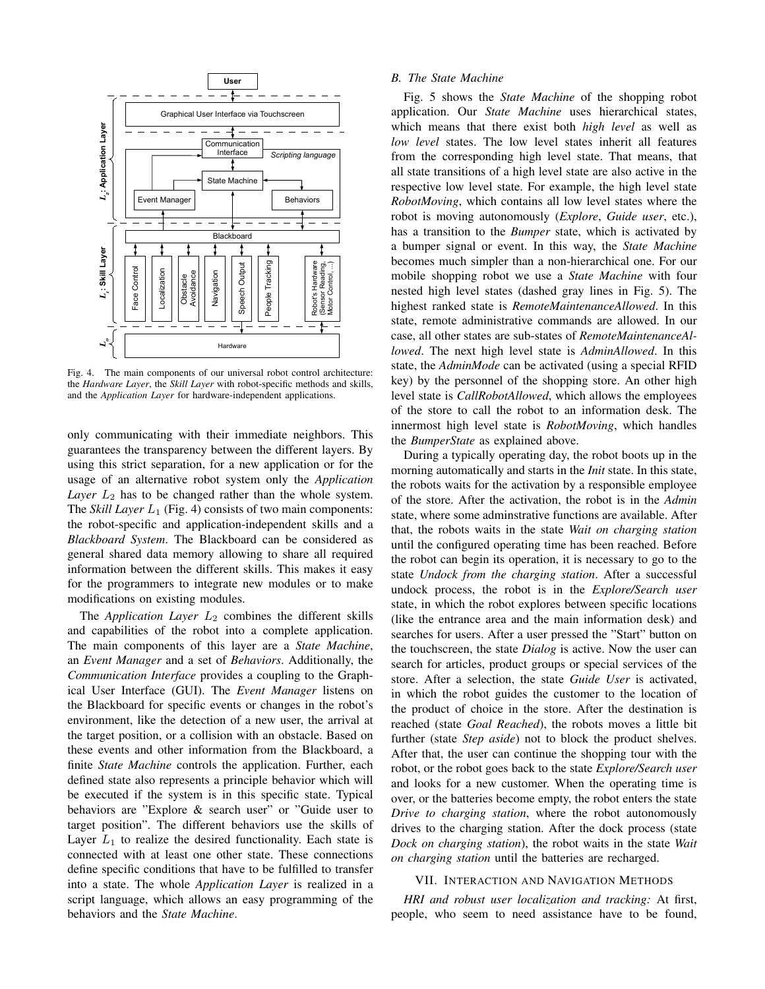

Fig. 4. The main components of our universal robot control architecture: the *Hardware Layer*, the *Skill Layer* with robot-specific methods and skills, and the *Application Layer* for hardware-independent applications.

only communicating with their immediate neighbors. This guarantees the transparency between the different layers. By using this strict separation, for a new application or for the usage of an alternative robot system only the *Application Layer*  $L_2$  has to be changed rather than the whole system. The *Skill Layer*  $L_1$  (Fig. 4) consists of two main components: the robot-specific and application-independent skills and a *Blackboard System*. The Blackboard can be considered as general shared data memory allowing to share all required information between the different skills. This makes it easy for the programmers to integrate new modules or to make modifications on existing modules.

The *Application Layer*  $L_2$  combines the different skills and capabilities of the robot into a complete application. The main components of this layer are a *State Machine*, an *Event Manager* and a set of *Behaviors*. Additionally, the *Communication Interface* provides a coupling to the Graphical User Interface (GUI). The *Event Manager* listens on the Blackboard for specific events or changes in the robot's environment, like the detection of a new user, the arrival at the target position, or a collision with an obstacle. Based on these events and other information from the Blackboard, a finite *State Machine* controls the application. Further, each defined state also represents a principle behavior which will be executed if the system is in this specific state. Typical behaviors are "Explore & search user" or "Guide user to target position". The different behaviors use the skills of Layer  $L_1$  to realize the desired functionality. Each state is connected with at least one other state. These connections define specific conditions that have to be fulfilled to transfer into a state. The whole *Application Layer* is realized in a script language, which allows an easy programming of the behaviors and the *State Machine*.

#### *B. The State Machine*

Fig. 5 shows the *State Machine* of the shopping robot application. Our *State Machine* uses hierarchical states, which means that there exist both *high level* as well as *low level* states. The low level states inherit all features from the corresponding high level state. That means, that all state transitions of a high level state are also active in the respective low level state. For example, the high level state *RobotMoving*, which contains all low level states where the robot is moving autonomously (*Explore*, *Guide user*, etc.), has a transition to the *Bumper* state, which is activated by a bumper signal or event. In this way, the *State Machine* becomes much simpler than a non-hierarchical one. For our mobile shopping robot we use a *State Machine* with four nested high level states (dashed gray lines in Fig. 5). The highest ranked state is *RemoteMaintenanceAllowed*. In this state, remote administrative commands are allowed. In our case, all other states are sub-states of *RemoteMaintenanceAllowed*. The next high level state is *AdminAllowed*. In this state, the *AdminMode* can be activated (using a special RFID key) by the personnel of the shopping store. An other high level state is *CallRobotAllowed*, which allows the employees of the store to call the robot to an information desk. The innermost high level state is *RobotMoving*, which handles the *BumperState* as explained above.

During a typically operating day, the robot boots up in the morning automatically and starts in the *Init* state. In this state, the robots waits for the activation by a responsible employee of the store. After the activation, the robot is in the *Admin* state, where some adminstrative functions are available. After that, the robots waits in the state *Wait on charging station* until the configured operating time has been reached. Before the robot can begin its operation, it is necessary to go to the state *Undock from the charging station*. After a successful undock process, the robot is in the *Explore/Search user* state, in which the robot explores between specific locations (like the entrance area and the main information desk) and searches for users. After a user pressed the "Start" button on the touchscreen, the state *Dialog* is active. Now the user can search for articles, product groups or special services of the store. After a selection, the state *Guide User* is activated, in which the robot guides the customer to the location of the product of choice in the store. After the destination is reached (state *Goal Reached*), the robots moves a little bit further (state *Step aside*) not to block the product shelves. After that, the user can continue the shopping tour with the robot, or the robot goes back to the state *Explore/Search user* and looks for a new customer. When the operating time is over, or the batteries become empty, the robot enters the state *Drive to charging station*, where the robot autonomously drives to the charging station. After the dock process (state *Dock on charging station*), the robot waits in the state *Wait on charging station* until the batteries are recharged.

#### VII. INTERACTION AND NAVIGATION METHODS

*HRI and robust user localization and tracking:* At first, people, who seem to need assistance have to be found,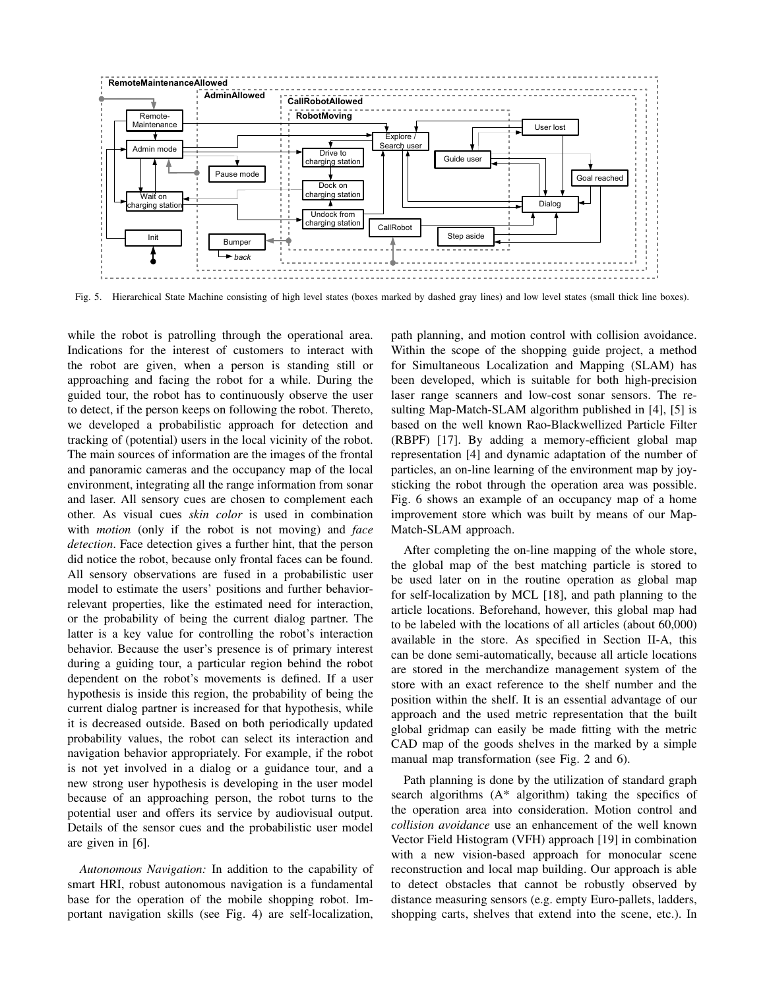

Fig. 5. Hierarchical State Machine consisting of high level states (boxes marked by dashed gray lines) and low level states (small thick line boxes).

while the robot is patrolling through the operational area. Indications for the interest of customers to interact with the robot are given, when a person is standing still or approaching and facing the robot for a while. During the guided tour, the robot has to continuously observe the user to detect, if the person keeps on following the robot. Thereto, we developed a probabilistic approach for detection and tracking of (potential) users in the local vicinity of the robot. The main sources of information are the images of the frontal and panoramic cameras and the occupancy map of the local environment, integrating all the range information from sonar and laser. All sensory cues are chosen to complement each other. As visual cues *skin color* is used in combination with *motion* (only if the robot is not moving) and *face detection*. Face detection gives a further hint, that the person did notice the robot, because only frontal faces can be found. All sensory observations are fused in a probabilistic user model to estimate the users' positions and further behaviorrelevant properties, like the estimated need for interaction, or the probability of being the current dialog partner. The latter is a key value for controlling the robot's interaction behavior. Because the user's presence is of primary interest during a guiding tour, a particular region behind the robot dependent on the robot's movements is defined. If a user hypothesis is inside this region, the probability of being the current dialog partner is increased for that hypothesis, while it is decreased outside. Based on both periodically updated probability values, the robot can select its interaction and navigation behavior appropriately. For example, if the robot is not yet involved in a dialog or a guidance tour, and a new strong user hypothesis is developing in the user model because of an approaching person, the robot turns to the potential user and offers its service by audiovisual output. Details of the sensor cues and the probabilistic user model are given in [6].

*Autonomous Navigation:* In addition to the capability of smart HRI, robust autonomous navigation is a fundamental base for the operation of the mobile shopping robot. Important navigation skills (see Fig. 4) are self-localization, path planning, and motion control with collision avoidance. Within the scope of the shopping guide project, a method for Simultaneous Localization and Mapping (SLAM) has been developed, which is suitable for both high-precision laser range scanners and low-cost sonar sensors. The resulting Map-Match-SLAM algorithm published in [4], [5] is based on the well known Rao-Blackwellized Particle Filter (RBPF) [17]. By adding a memory-efficient global map representation [4] and dynamic adaptation of the number of particles, an on-line learning of the environment map by joysticking the robot through the operation area was possible. Fig. 6 shows an example of an occupancy map of a home improvement store which was built by means of our Map-Match-SLAM approach.

After completing the on-line mapping of the whole store, the global map of the best matching particle is stored to be used later on in the routine operation as global map for self-localization by MCL [18], and path planning to the article locations. Beforehand, however, this global map had to be labeled with the locations of all articles (about 60,000) available in the store. As specified in Section II-A, this can be done semi-automatically, because all article locations are stored in the merchandize management system of the store with an exact reference to the shelf number and the position within the shelf. It is an essential advantage of our approach and the used metric representation that the built global gridmap can easily be made fitting with the metric CAD map of the goods shelves in the marked by a simple manual map transformation (see Fig. 2 and 6).

Path planning is done by the utilization of standard graph search algorithms (A\* algorithm) taking the specifics of the operation area into consideration. Motion control and *collision avoidance* use an enhancement of the well known Vector Field Histogram (VFH) approach [19] in combination with a new vision-based approach for monocular scene reconstruction and local map building. Our approach is able to detect obstacles that cannot be robustly observed by distance measuring sensors (e.g. empty Euro-pallets, ladders, shopping carts, shelves that extend into the scene, etc.). In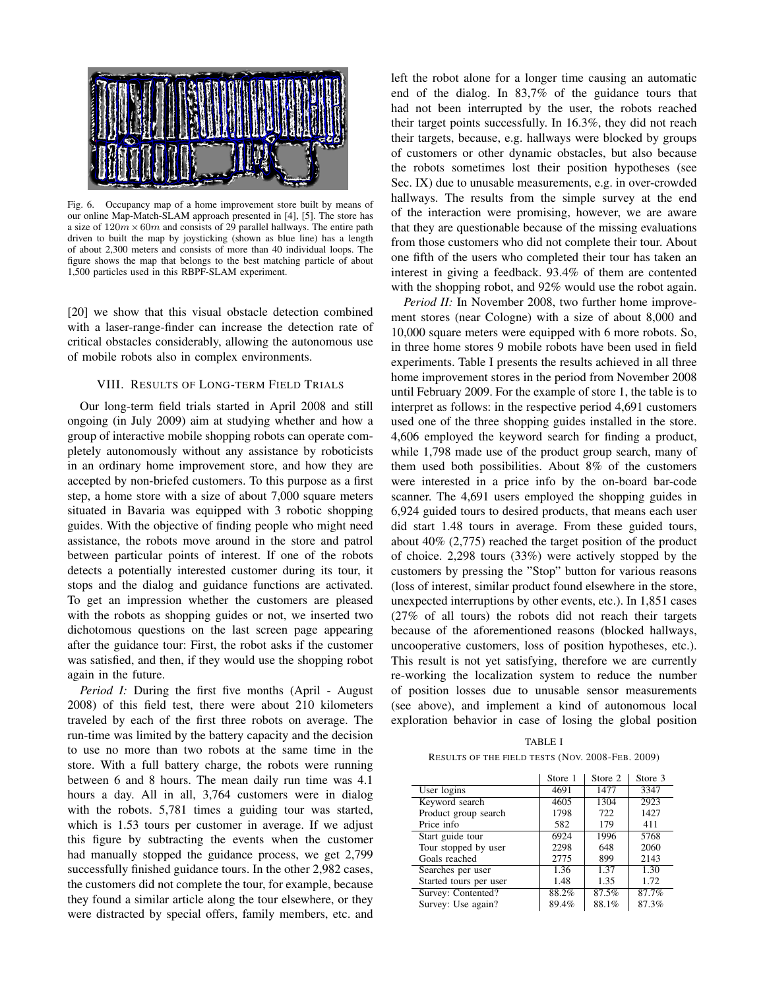

Fig. 6. Occupancy map of a home improvement store built by means of our online Map-Match-SLAM approach presented in [4], [5]. The store has a size of  $120m \times 60m$  and consists of 29 parallel hallways. The entire path driven to built the map by joysticking (shown as blue line) has a length of about 2,300 meters and consists of more than 40 individual loops. The figure shows the map that belongs to the best matching particle of about 1,500 particles used in this RBPF-SLAM experiment.

[20] we show that this visual obstacle detection combined with a laser-range-finder can increase the detection rate of critical obstacles considerably, allowing the autonomous use of mobile robots also in complex environments.

# VIII. RESULTS OF LONG-TERM FIELD TRIALS

Our long-term field trials started in April 2008 and still ongoing (in July 2009) aim at studying whether and how a group of interactive mobile shopping robots can operate completely autonomously without any assistance by roboticists in an ordinary home improvement store, and how they are accepted by non-briefed customers. To this purpose as a first step, a home store with a size of about 7,000 square meters situated in Bavaria was equipped with 3 robotic shopping guides. With the objective of finding people who might need assistance, the robots move around in the store and patrol between particular points of interest. If one of the robots detects a potentially interested customer during its tour, it stops and the dialog and guidance functions are activated. To get an impression whether the customers are pleased with the robots as shopping guides or not, we inserted two dichotomous questions on the last screen page appearing after the guidance tour: First, the robot asks if the customer was satisfied, and then, if they would use the shopping robot again in the future.

*Period I:* During the first five months (April - August 2008) of this field test, there were about 210 kilometers traveled by each of the first three robots on average. The run-time was limited by the battery capacity and the decision to use no more than two robots at the same time in the store. With a full battery charge, the robots were running between 6 and 8 hours. The mean daily run time was 4.1 hours a day. All in all, 3,764 customers were in dialog with the robots. 5,781 times a guiding tour was started, which is 1.53 tours per customer in average. If we adjust this figure by subtracting the events when the customer had manually stopped the guidance process, we get 2,799 successfully finished guidance tours. In the other 2,982 cases, the customers did not complete the tour, for example, because they found a similar article along the tour elsewhere, or they were distracted by special offers, family members, etc. and

left the robot alone for a longer time causing an automatic end of the dialog. In 83,7% of the guidance tours that had not been interrupted by the user, the robots reached their target points successfully. In 16.3%, they did not reach their targets, because, e.g. hallways were blocked by groups of customers or other dynamic obstacles, but also because the robots sometimes lost their position hypotheses (see Sec. IX) due to unusable measurements, e.g. in over-crowded hallways. The results from the simple survey at the end of the interaction were promising, however, we are aware that they are questionable because of the missing evaluations from those customers who did not complete their tour. About one fifth of the users who completed their tour has taken an interest in giving a feedback. 93.4% of them are contented with the shopping robot, and 92% would use the robot again.

*Period II:* In November 2008, two further home improvement stores (near Cologne) with a size of about 8,000 and 10,000 square meters were equipped with 6 more robots. So, in three home stores 9 mobile robots have been used in field experiments. Table I presents the results achieved in all three home improvement stores in the period from November 2008 until February 2009. For the example of store 1, the table is to interpret as follows: in the respective period 4,691 customers used one of the three shopping guides installed in the store. 4,606 employed the keyword search for finding a product, while 1,798 made use of the product group search, many of them used both possibilities. About 8% of the customers were interested in a price info by the on-board bar-code scanner. The 4,691 users employed the shopping guides in 6,924 guided tours to desired products, that means each user did start 1.48 tours in average. From these guided tours, about 40% (2,775) reached the target position of the product of choice. 2,298 tours (33%) were actively stopped by the customers by pressing the "Stop" button for various reasons (loss of interest, similar product found elsewhere in the store, unexpected interruptions by other events, etc.). In 1,851 cases (27% of all tours) the robots did not reach their targets because of the aforementioned reasons (blocked hallways, uncooperative customers, loss of position hypotheses, etc.). This result is not yet satisfying, therefore we are currently re-working the localization system to reduce the number of position losses due to unusable sensor measurements (see above), and implement a kind of autonomous local exploration behavior in case of losing the global position

| TABLE I                                          |
|--------------------------------------------------|
| RESULTS OF THE FIELD TESTS (NOV. 2008-FEB. 2009) |

|                        | Store 1 | Store 2 | Store 3 |
|------------------------|---------|---------|---------|
| User logins            | 4691    | 1477    | 3347    |
| Keyword search         | 4605    | 1304    | 2923    |
| Product group search   | 1798    | 722     | 1427    |
| Price info             | 582     | 179     | 411     |
| Start guide tour       | 6924    | 1996    | 5768    |
| Tour stopped by user   | 2298    | 648     | 2060    |
| Goals reached          | 2775    | 899     | 2143    |
| Searches per user      | 1.36    | 1.37    | 1.30    |
| Started tours per user | 1.48    | 1.35    | 1.72    |
| Survey: Contented?     | 88.2%   | 87.5%   | 87.7%   |
| Survey: Use again?     | 89.4%   | 88.1%   | 87.3%   |